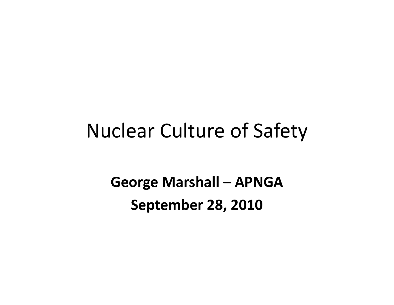#### Nuclear Culture of Safety

**George Marshall – APNGA September 28, 2010**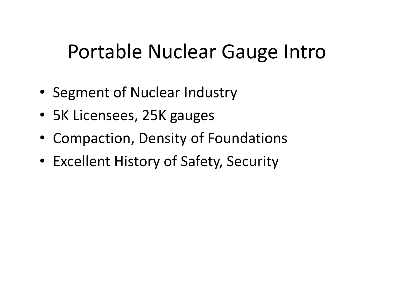## Portable Nuclear Gauge Intro

- Segment of Nuclear Industry
- 5K Licensees, 25K gauges
- Compaction, Density of Foundations
- Excellent History of Safety, Security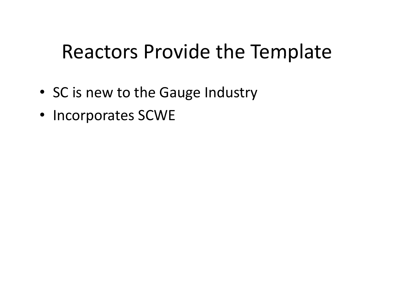## Reactors Provide the Template

- SC is new to the Gauge Industry
- Incorporates SCWE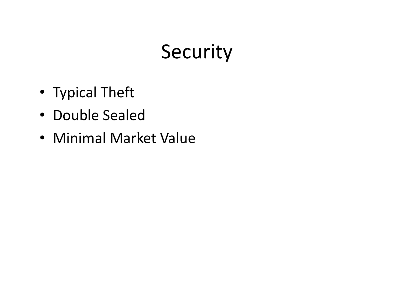## Security

- Typical Theft
- Double Sealed
- Minimal Market Value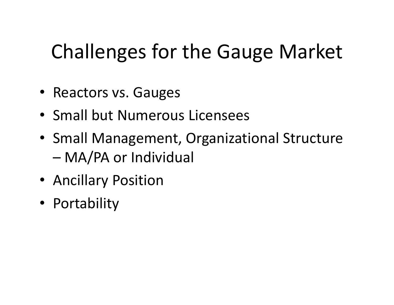# Challenges for the Gauge Market

- Reactors vs. Gauges
- Small but Numerous Licensees
- Small Management, Organizational Structure –MA/PA or Individual
- Ancillary Position
- Portabilit y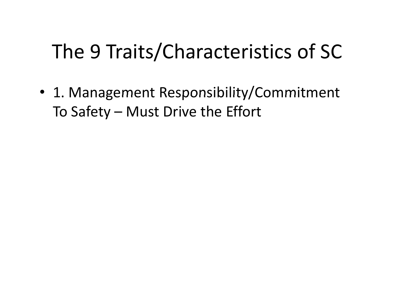## The 9 Traits/Characteristics of SC

• 1. Management Responsibility/Commitment To Safety – Must Drive the Effort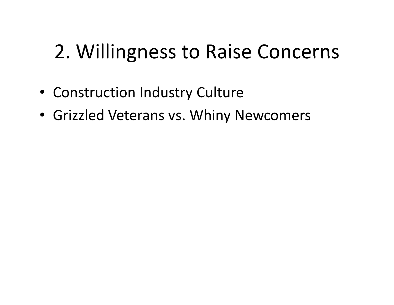## 2. Willingness to Raise Concerns

- Construction Industry Culture
- Grizzled Veterans vs. Whiny Newcomers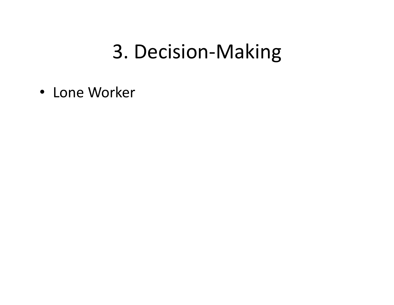## 3. Decision-Making

• Lone Worker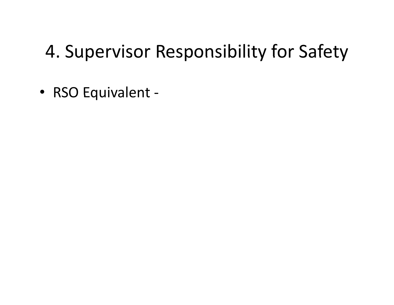#### 4. Supervisor Responsibility for Safety

• RSO Equivalent -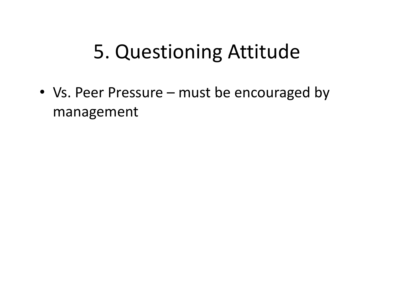## 5. Questioning Attitude

• Vs. Peer Pressure –– must be encouraged by management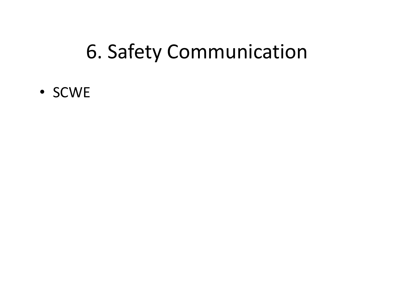## 6. Safety Communication

• SCWE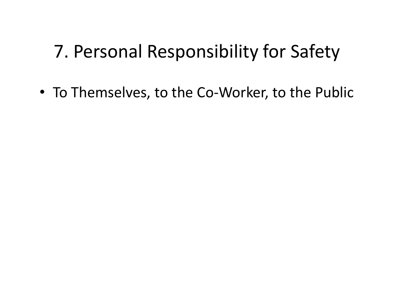#### 7. Personal Responsibility for Safety

• To Themselves, to the Co-Worker, to the Public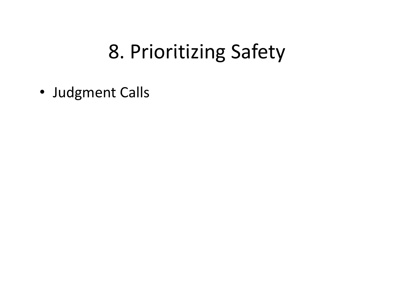## 8. Prioritizing Safety

• Judgment Calls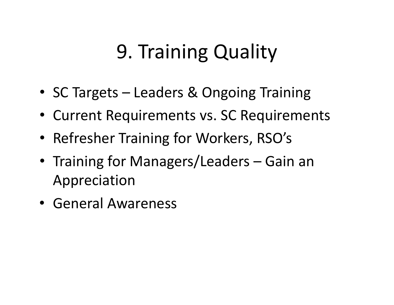## 9. Training Quality

- SC Targets –Leaders & Ongoing Training
- Current Requirements vs. SC Requirements
- Refresher Training for Workers, RSO's
- Training for Managers/Leaders Gain an Appreciation
- General Awareness